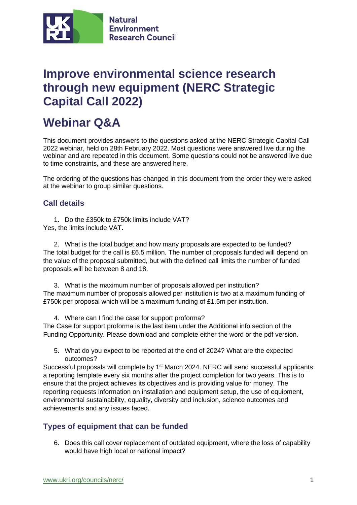

## **Improve environmental science research through new equipment (NERC Strategic Capital Call 2022)**

# **Webinar Q&A**

This document provides answers to the questions asked at the NERC Strategic Capital Call 2022 webinar, held on 28th February 2022. Most questions were answered live during the webinar and are repeated in this document. Some questions could not be answered live due to time constraints, and these are answered here.

The ordering of the questions has changed in this document from the order they were asked at the webinar to group similar questions.

## **Call details**

1. Do the £350k to £750k limits include VAT? Yes, the limits include VAT.

2. What is the total budget and how many proposals are expected to be funded? The total budget for the call is £6.5 million. The number of proposals funded will depend on the value of the proposal submitted, but with the defined call limits the number of funded proposals will be between 8 and 18.

3. What is the maximum number of proposals allowed per institution? The maximum number of proposals allowed per institution is two at a maximum funding of £750k per proposal which will be a maximum funding of £1.5m per institution.

4. Where can I find the case for support proforma? The Case for support proforma is the last item under the Additional info section of the Funding Opportunity. Please download and complete either the word or the pdf version.

5. What do you expect to be reported at the end of 2024? What are the expected outcomes?

Successful proposals will complete by 1<sup>st</sup> March 2024. NERC will send successful applicants a reporting template every six months after the project completion for two years. This is to ensure that the project achieves its objectives and is providing value for money. The reporting requests information on installation and equipment setup, the use of equipment, environmental sustainability, equality, diversity and inclusion, science outcomes and achievements and any issues faced.

## **Types of equipment that can be funded**

6. Does this call cover replacement of outdated equipment, where the loss of capability would have high local or national impact?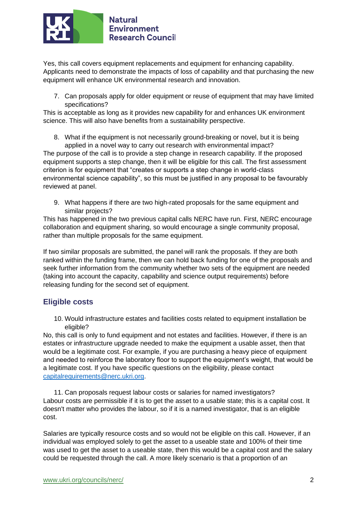

Yes, this call covers equipment replacements and equipment for enhancing capability. Applicants need to demonstrate the impacts of loss of capability and that purchasing the new equipment will enhance UK environmental research and innovation.

7. Can proposals apply for older equipment or reuse of equipment that may have limited specifications?

This is acceptable as long as it provides new capability for and enhances UK environment science. This will also have benefits from a sustainability perspective.

8. What if the equipment is not necessarily ground-breaking or novel, but it is being applied in a novel way to carry out research with environmental impact?

The purpose of the call is to provide a step change in research capability. If the proposed equipment supports a step change, then it will be eligible for this call. The first assessment criterion is for equipment that "creates or supports a step change in world-class environmental science capability", so this must be justified in any proposal to be favourably reviewed at panel.

9. What happens if there are two high-rated proposals for the same equipment and similar projects?

This has happened in the two previous capital calls NERC have run. First, NERC encourage collaboration and equipment sharing, so would encourage a single community proposal, rather than multiple proposals for the same equipment.

If two similar proposals are submitted, the panel will rank the proposals. If they are both ranked within the funding frame, then we can hold back funding for one of the proposals and seek further information from the community whether two sets of the equipment are needed (taking into account the capacity, capability and science output requirements) before releasing funding for the second set of equipment.

## **Eligible costs**

10. Would infrastructure estates and facilities costs related to equipment installation be eligible?

No, this call is only to fund equipment and not estates and facilities. However, if there is an estates or infrastructure upgrade needed to make the equipment a usable asset, then that would be a legitimate cost. For example, if you are purchasing a heavy piece of equipment and needed to reinforce the laboratory floor to support the equipment's weight, that would be a legitimate cost. If you have specific questions on the eligibility, please contact [capitalrequirements@nerc.ukri.org.](mailto:capitalrequirements@nerc.ukri.org)

11. Can proposals request labour costs or salaries for named investigators? Labour costs are permissible if it is to get the asset to a usable state; this is a capital cost. It doesn't matter who provides the labour, so if it is a named investigator, that is an eligible cost.

Salaries are typically resource costs and so would not be eligible on this call. However, if an individual was employed solely to get the asset to a useable state and 100% of their time was used to get the asset to a useable state, then this would be a capital cost and the salary could be requested through the call. A more likely scenario is that a proportion of an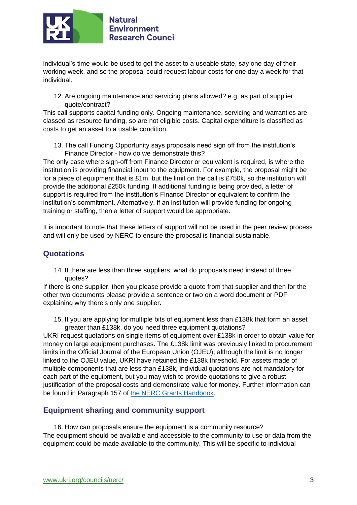

individual's time would be used to get the asset to a useable state, say one day of their working week, and so the proposal could request labour costs for one day a week for that individual.

12. Are ongoing maintenance and servicing plans allowed? e.g. as part of supplier quote/contract?

This call supports capital funding only. Ongoing maintenance, servicing and warranties are classed as resource funding, so are not eligible costs. Capital expenditure is classified as costs to get an asset to a usable condition.

13. The call Funding Opportunity says proposals need sign off from the institution's Finance Director - how do we demonstrate this?

The only case where sign-off from Finance Director or equivalent is required, is where the institution is providing financial input to the equipment. For example, the proposal might be for a piece of equipment that is  $£1m$ , but the limit on the call is  $£750k$ , so the institution will provide the additional £250k funding. If additional funding is being provided, a letter of support is required from the institution's Finance Director or equivalent to confirm the institution's commitment. Alternatively, if an institution will provide funding for ongoing training or staffing, then a letter of support would be appropriate.

It is important to note that these letters of support will not be used in the peer review process and will only be used by NERC to ensure the proposal is financial sustainable.

#### **Quotations**

14. If there are less than three suppliers, what do proposals need instead of three quotes?

If there is one supplier, then you please provide a quote from that supplier and then for the other two documents please provide a sentence or two on a word document or PDF explaining why there's only one supplier.

15. If you are applying for multiple bits of equipment less than £138k that form an asset greater than £138k, do you need three equipment quotations?

UKRI request quotations on single items of equipment over £138k in order to obtain value for money on large equipment purchases. The £138k limit was previously linked to procurement limits in the Official Journal of the European Union (OJEU); although the limit is no longer linked to the OJEU value, UKRI have retained the £138k threshold. For assets made of multiple components that are less than £138k, individual quotations are not mandatory for each part of the equipment, but you may wish to provide quotations to give a robust justification of the proposal costs and demonstrate value for money. Further information can be found in Paragraph 157 of [the NERC Grants Handbook.](https://www.ukri.org/wp-content/uploads/2021/12/NERC-231221-ResearchGrantsFellowshipsHandbook.pdf)

#### **Equipment sharing and community support**

16. How can proposals ensure the equipment is a community resource? The equipment should be available and accessible to the community to use or data from the equipment could be made available to the community. This will be specific to individual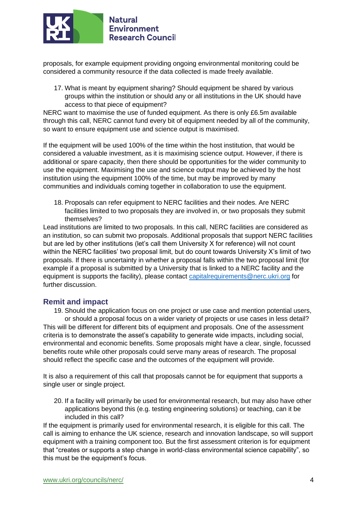

proposals, for example equipment providing ongoing environmental monitoring could be considered a community resource if the data collected is made freely available.

17. What is meant by equipment sharing? Should equipment be shared by various groups within the institution or should any or all institutions in the UK should have access to that piece of equipment?

NERC want to maximise the use of funded equipment. As there is only £6.5m available through this call, NERC cannot fund every bit of equipment needed by all of the community, so want to ensure equipment use and science output is maximised.

If the equipment will be used 100% of the time within the host institution, that would be considered a valuable investment, as it is maximising science output. However, if there is additional or spare capacity, then there should be opportunities for the wider community to use the equipment. Maximising the use and science output may be achieved by the host institution using the equipment 100% of the time, but may be improved by many communities and individuals coming together in collaboration to use the equipment.

18. Proposals can refer equipment to NERC facilities and their nodes. Are NERC facilities limited to two proposals they are involved in, or two proposals they submit themselves?

Lead institutions are limited to two proposals. In this call, NERC facilities are considered as an institution, so can submit two proposals. Additional proposals that support NERC facilities but are led by other institutions (let's call them University X for reference) will not count within the NERC facilities' two proposal limit, but do count towards University X's limit of two proposals. If there is uncertainty in whether a proposal falls within the two proposal limit (for example if a proposal is submitted by a University that is linked to a NERC facility and the equipment is supports the facility), please contact [capitalrequirements@nerc.ukri.org](mailto:capitalrequirements@nerc.ukri.org) for further discussion.

#### **Remit and impact**

19. Should the application focus on one project or use case and mention potential users, or should a proposal focus on a wider variety of projects or use cases in less detail? This will be different for different bits of equipment and proposals. One of the assessment criteria is to demonstrate the asset's capability to generate wide impacts, including social, environmental and economic benefits. Some proposals might have a clear, single, focussed benefits route while other proposals could serve many areas of research. The proposal should reflect the specific case and the outcomes of the equipment will provide.

It is also a requirement of this call that proposals cannot be for equipment that supports a single user or single project.

20. If a facility will primarily be used for environmental research, but may also have other applications beyond this (e.g. testing engineering solutions) or teaching, can it be included in this call?

If the equipment is primarily used for environmental research, it is eligible for this call. The call is aiming to enhance the UK science, research and innovation landscape, so will support equipment with a training component too. But the first assessment criterion is for equipment that "creates or supports a step change in world-class environmental science capability", so this must be the equipment's focus.